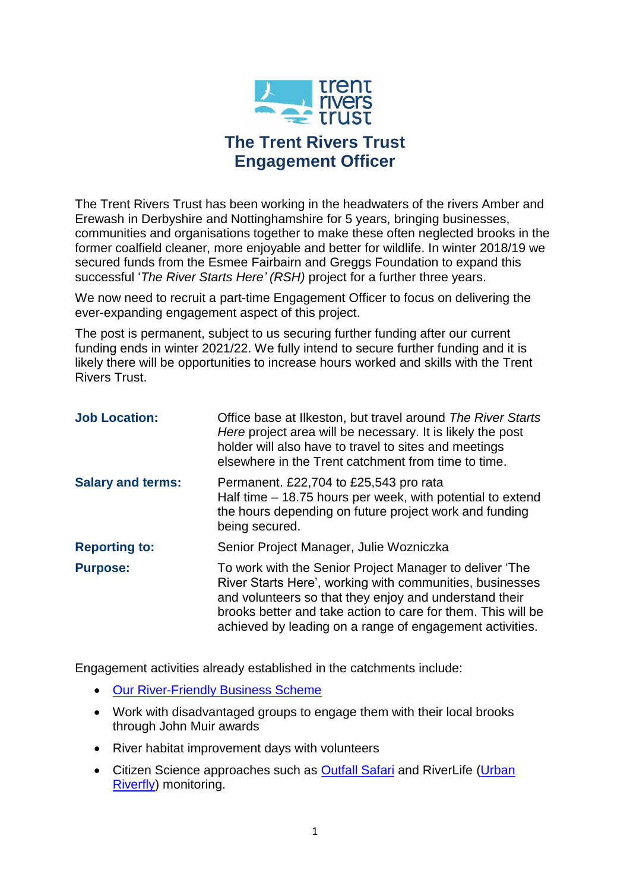

# **The Trent Rivers Trust Engagement Officer**

The Trent Rivers Trust has been working in the headwaters of the rivers Amber and Erewash in Derbyshire and Nottinghamshire for 5 years, bringing businesses, communities and organisations together to make these often neglected brooks in the former coalfield cleaner, more enjoyable and better for wildlife. In winter 2018/19 we secured funds from the Esmee Fairbairn and Greggs Foundation to expand this successful '*The River Starts Here' (RSH)* project for a further three years.

We now need to recruit a part-time Engagement Officer to focus on delivering the ever-expanding engagement aspect of this project.

The post is permanent, subject to us securing further funding after our current funding ends in winter 2021/22. We fully intend to secure further funding and it is likely there will be opportunities to increase hours worked and skills with the Trent Rivers Trust.

| <b>Job Location:</b>     | Office base at Ilkeston, but travel around The River Starts<br>Here project area will be necessary. It is likely the post<br>holder will also have to travel to sites and meetings<br>elsewhere in the Trent catchment from time to time.                                                                 |
|--------------------------|-----------------------------------------------------------------------------------------------------------------------------------------------------------------------------------------------------------------------------------------------------------------------------------------------------------|
| <b>Salary and terms:</b> | Permanent. £22,704 to £25,543 pro rata<br>Half time – 18.75 hours per week, with potential to extend<br>the hours depending on future project work and funding<br>being secured.                                                                                                                          |
| <b>Reporting to:</b>     | Senior Project Manager, Julie Wozniczka                                                                                                                                                                                                                                                                   |
| <b>Purpose:</b>          | To work with the Senior Project Manager to deliver 'The<br>River Starts Here', working with communities, businesses<br>and volunteers so that they enjoy and understand their<br>brooks better and take action to care for them. This will be<br>achieved by leading on a range of engagement activities. |

Engagement activities already established in the catchments include:

- [Our River-Friendly Business Scheme](https://www.trentriverstrust.org/project/river-friendly-business-awards/)
- Work with disadvantaged groups to engage them with their local brooks through John Muir awards
- River habitat improvement days with volunteers
- Citizen Science approaches such as **Outfall Safari and RiverLife (Urban** [Riverfly\)](http://www.riverflies.org/urban-riverfly) monitoring.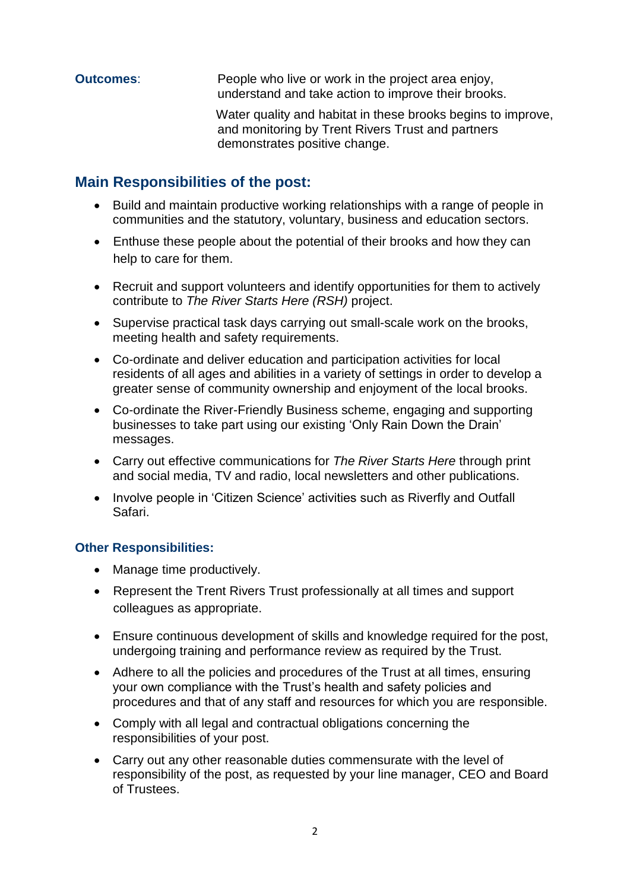**Outcomes:** People who live or work in the project area enjoy, understand and take action to improve their brooks.

> Water quality and habitat in these brooks begins to improve, and monitoring by Trent Rivers Trust and partners demonstrates positive change.

### **Main Responsibilities of the post:**

- Build and maintain productive working relationships with a range of people in communities and the statutory, voluntary, business and education sectors.
- Enthuse these people about the potential of their brooks and how they can help to care for them.
- Recruit and support volunteers and identify opportunities for them to actively contribute to *The River Starts Here (RSH)* project.
- Supervise practical task days carrying out small-scale work on the brooks, meeting health and safety requirements.
- Co-ordinate and deliver education and participation activities for local residents of all ages and abilities in a variety of settings in order to develop a greater sense of community ownership and enjoyment of the local brooks.
- Co-ordinate the River-Friendly Business scheme, engaging and supporting businesses to take part using our existing 'Only Rain Down the Drain' messages.
- Carry out effective communications for *The River Starts Here* through print and social media, TV and radio, local newsletters and other publications.
- Involve people in 'Citizen Science' activities such as Riverfly and Outfall Safari.

#### **Other Responsibilities:**

- Manage time productively.
- Represent the Trent Rivers Trust professionally at all times and support colleagues as appropriate.
- Ensure continuous development of skills and knowledge required for the post, undergoing training and performance review as required by the Trust.
- Adhere to all the policies and procedures of the Trust at all times, ensuring your own compliance with the Trust's health and safety policies and procedures and that of any staff and resources for which you are responsible.
- Comply with all legal and contractual obligations concerning the responsibilities of your post.
- Carry out any other reasonable duties commensurate with the level of responsibility of the post, as requested by your line manager, CEO and Board of Trustees.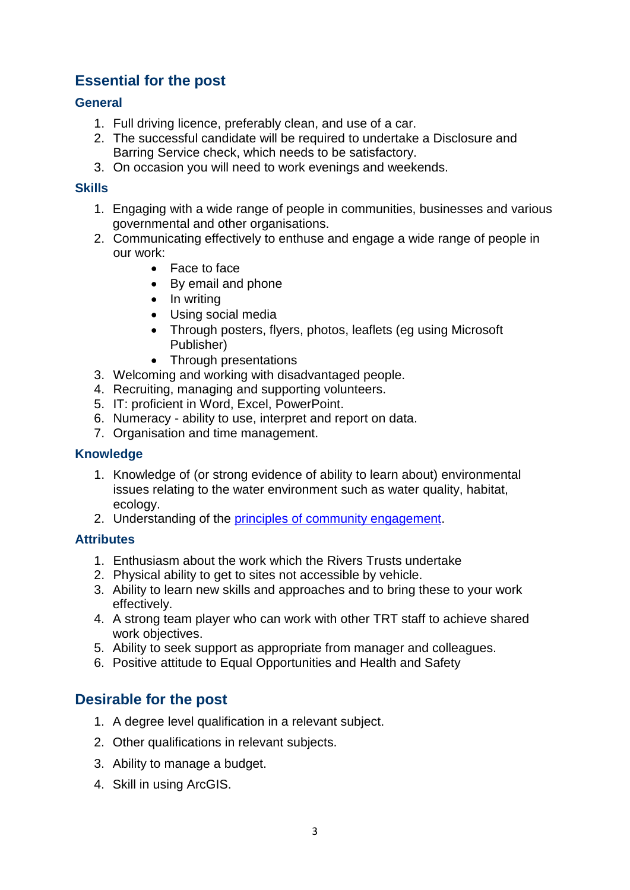## **Essential for the post**

#### **General**

- 1. Full driving licence, preferably clean, and use of a car.
- 2. The successful candidate will be required to undertake a Disclosure and Barring Service check, which needs to be satisfactory.
- 3. On occasion you will need to work evenings and weekends.

#### **Skills**

- 1. Engaging with a wide range of people in communities, businesses and various governmental and other organisations.
- 2. Communicating effectively to enthuse and engage a wide range of people in our work:
	- Face to face
	- By email and phone
	- In writing
	- Using social media
	- Through posters, flyers, photos, leaflets (eg using Microsoft) Publisher)
	- Through presentations
- 3. Welcoming and working with disadvantaged people.
- 4. Recruiting, managing and supporting volunteers.
- 5. IT: proficient in Word, Excel, PowerPoint.
- 6. Numeracy ability to use, interpret and report on data.
- 7. Organisation and time management.

#### **Knowledge**

- 1. Knowledge of (or strong evidence of ability to learn about) environmental issues relating to the water environment such as water quality, habitat, ecology.
- 2. Understanding of the [principles of community engagement.](https://mycommunity.org.uk/resources/principles-of-community-engagement/)

#### **Attributes**

- 1. Enthusiasm about the work which the Rivers Trusts undertake
- 2. Physical ability to get to sites not accessible by vehicle.
- 3. Ability to learn new skills and approaches and to bring these to your work effectively.
- 4. A strong team player who can work with other TRT staff to achieve shared work objectives.
- 5. Ability to seek support as appropriate from manager and colleagues.
- 6. Positive attitude to Equal Opportunities and Health and Safety

### **Desirable for the post**

- 1. A degree level qualification in a relevant subject.
- 2. Other qualifications in relevant subjects.
- 3. Ability to manage a budget.
- 4. Skill in using ArcGIS.